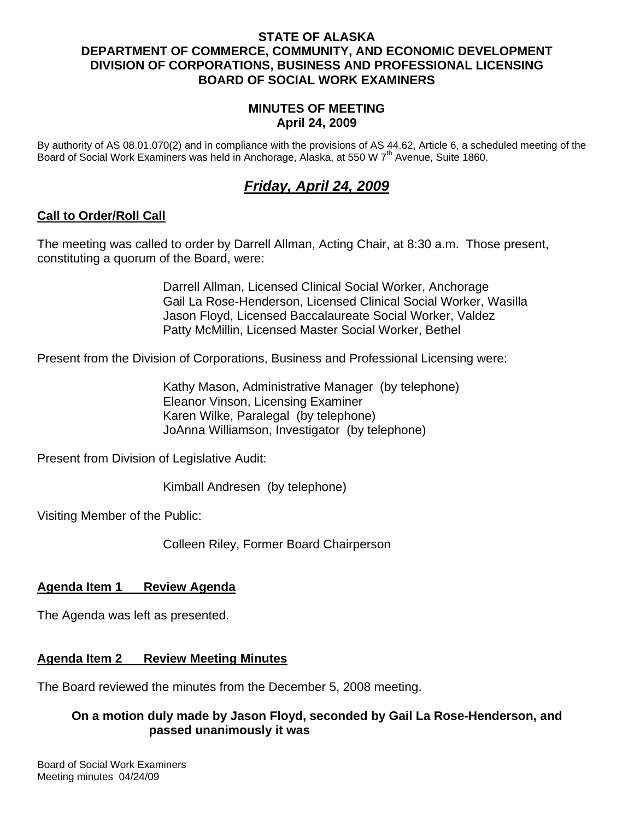### **STATE OF ALASKA DEPARTMENT OF COMMERCE, COMMUNITY, AND ECONOMIC DEVELOPMENT DIVISION OF CORPORATIONS, BUSINESS AND PROFESSIONAL LICENSING BOARD OF SOCIAL WORK EXAMINERS**

### **MINUTES OF MEETING April 24, 2009**

By authority of AS 08.01.070(2) and in compliance with the provisions of AS 44.62, Article 6, a scheduled meeting of the Board of Social Work Examiners was held in Anchorage, Alaska, at 550 W 7<sup>th</sup> Avenue, Suite 1860.

# *Friday, April 24, 2009*

## **Call to Order/Roll Call**

The meeting was called to order by Darrell Allman, Acting Chair, at 8:30 a.m. Those present, constituting a quorum of the Board, were:

> Darrell Allman, Licensed Clinical Social Worker, Anchorage Gail La Rose-Henderson, Licensed Clinical Social Worker, Wasilla Jason Floyd, Licensed Baccalaureate Social Worker, Valdez Patty McMillin, Licensed Master Social Worker, Bethel

Present from the Division of Corporations, Business and Professional Licensing were:

 Kathy Mason, Administrative Manager (by telephone) Eleanor Vinson, Licensing Examiner Karen Wilke, Paralegal (by telephone) JoAnna Williamson, Investigator (by telephone)

Present from Division of Legislative Audit:

Kimball Andresen (by telephone)

Visiting Member of the Public:

Colleen Riley, Former Board Chairperson

### **Agenda Item 1 Review Agenda**

The Agenda was left as presented.

### **Agenda Item 2 Review Meeting Minutes**

The Board reviewed the minutes from the December 5, 2008 meeting.

## **On a motion duly made by Jason Floyd, seconded by Gail La Rose-Henderson, and passed unanimously it was**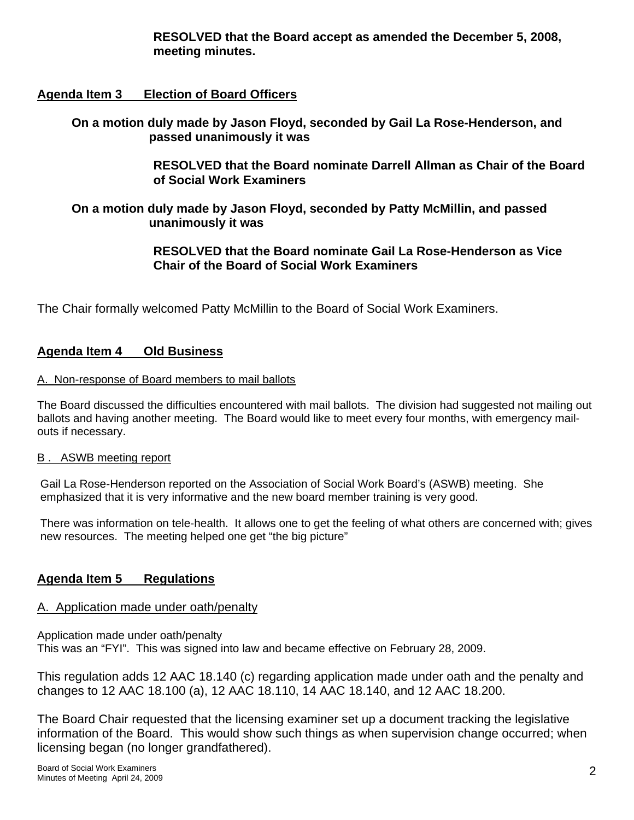**RESOLVED that the Board accept as amended the December 5, 2008, meeting minutes.** 

### **Agenda Item 3 Election of Board Officers**

### **On a motion duly made by Jason Floyd, seconded by Gail La Rose-Henderson, and passed unanimously it was**

 **RESOLVED that the Board nominate Darrell Allman as Chair of the Board of Social Work Examiners** 

### **On a motion duly made by Jason Floyd, seconded by Patty McMillin, and passed unanimously it was**

## **RESOLVED that the Board nominate Gail La Rose-Henderson as Vice Chair of the Board of Social Work Examiners**

The Chair formally welcomed Patty McMillin to the Board of Social Work Examiners.

### **Agenda Item 4 Old Business**

### A. Non-response of Board members to mail ballots

The Board discussed the difficulties encountered with mail ballots. The division had suggested not mailing out ballots and having another meeting. The Board would like to meet every four months, with emergency mailouts if necessary.

### B . ASWB meeting report

Gail La Rose-Henderson reported on the Association of Social Work Board's (ASWB) meeting. She emphasized that it is very informative and the new board member training is very good.

There was information on tele-health. It allows one to get the feeling of what others are concerned with; gives new resources. The meeting helped one get "the big picture"

# **Agenda Item 5 Regulations**

### A. Application made under oath/penalty

Application made under oath/penalty This was an "FYI". This was signed into law and became effective on February 28, 2009.

This regulation adds 12 AAC 18.140 (c) regarding application made under oath and the penalty and changes to 12 AAC 18.100 (a), 12 AAC 18.110, 14 AAC 18.140, and 12 AAC 18.200.

The Board Chair requested that the licensing examiner set up a document tracking the legislative information of the Board. This would show such things as when supervision change occurred; when licensing began (no longer grandfathered).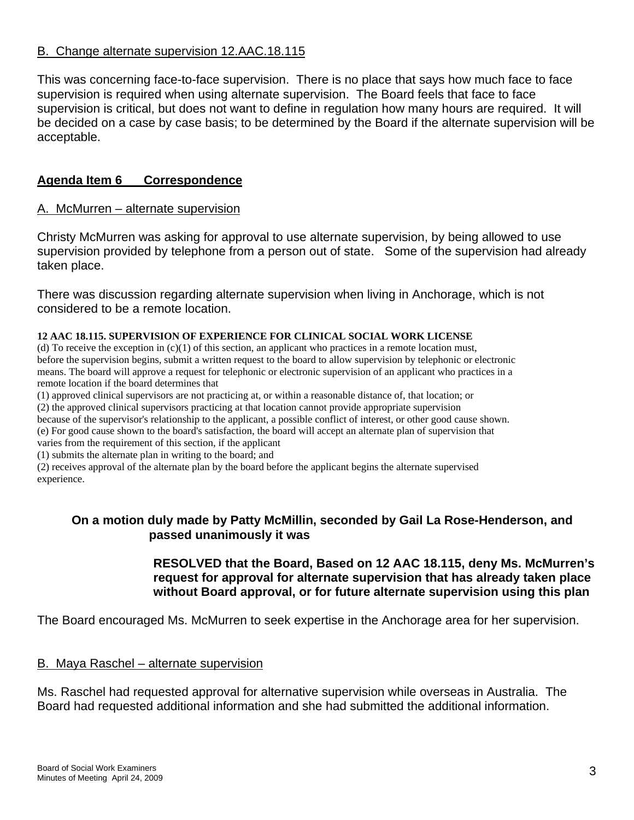## B. Change alternate supervision 12.AAC.18.115

This was concerning face-to-face supervision. There is no place that says how much face to face supervision is required when using alternate supervision. The Board feels that face to face supervision is critical, but does not want to define in regulation how many hours are required. It will be decided on a case by case basis; to be determined by the Board if the alternate supervision will be acceptable.

# **Agenda Item 6 Correspondence**

## A. McMurren – alternate supervision

Christy McMurren was asking for approval to use alternate supervision, by being allowed to use supervision provided by telephone from a person out of state. Some of the supervision had already taken place.

There was discussion regarding alternate supervision when living in Anchorage, which is not considered to be a remote location.

### **12 AAC 18.115. SUPERVISION OF EXPERIENCE FOR CLINICAL SOCIAL WORK LICENSE**

(d) To receive the exception in  $(c)(1)$  of this section, an applicant who practices in a remote location must, before the supervision begins, submit a written request to the board to allow supervision by telephonic or electronic means. The board will approve a request for telephonic or electronic supervision of an applicant who practices in a remote location if the board determines that

(1) approved clinical supervisors are not practicing at, or within a reasonable distance of, that location; or

(2) the approved clinical supervisors practicing at that location cannot provide appropriate supervision

because of the supervisor's relationship to the applicant, a possible conflict of interest, or other good cause shown.

(e) For good cause shown to the board's satisfaction, the board will accept an alternate plan of supervision that varies from the requirement of this section, if the applicant

(1) submits the alternate plan in writing to the board; and

(2) receives approval of the alternate plan by the board before the applicant begins the alternate supervised experience.

# **On a motion duly made by Patty McMillin, seconded by Gail La Rose-Henderson, and passed unanimously it was**

# **RESOLVED that the Board, Based on 12 AAC 18.115, deny Ms. McMurren's request for approval for alternate supervision that has already taken place without Board approval, or for future alternate supervision using this plan**

The Board encouraged Ms. McMurren to seek expertise in the Anchorage area for her supervision.

# B. Maya Raschel – alternate supervision

Ms. Raschel had requested approval for alternative supervision while overseas in Australia. The Board had requested additional information and she had submitted the additional information.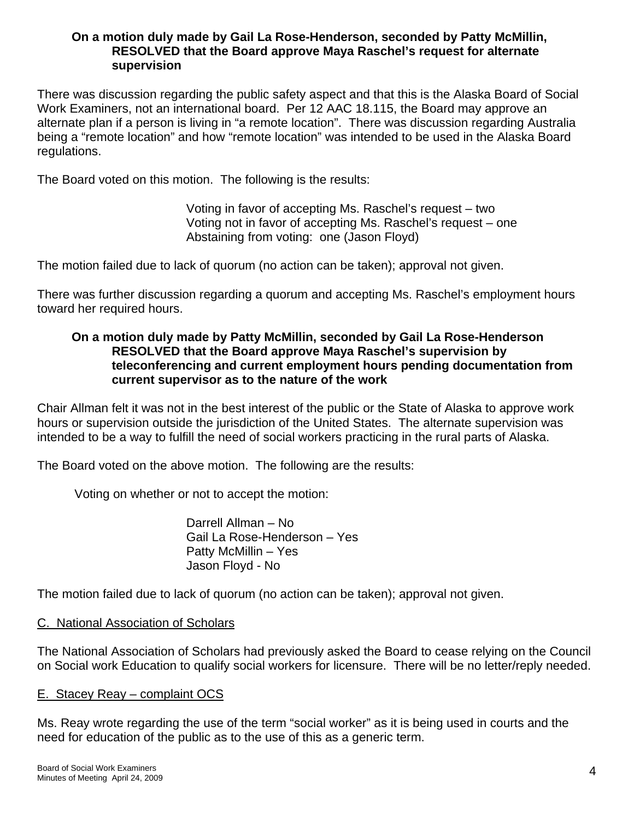### **On a motion duly made by Gail La Rose-Henderson, seconded by Patty McMillin, RESOLVED that the Board approve Maya Raschel's request for alternate supervision**

There was discussion regarding the public safety aspect and that this is the Alaska Board of Social Work Examiners, not an international board. Per 12 AAC 18.115, the Board may approve an alternate plan if a person is living in "a remote location". There was discussion regarding Australia being a "remote location" and how "remote location" was intended to be used in the Alaska Board regulations.

The Board voted on this motion. The following is the results:

 Voting in favor of accepting Ms. Raschel's request – two Voting not in favor of accepting Ms. Raschel's request – one Abstaining from voting: one (Jason Floyd)

The motion failed due to lack of quorum (no action can be taken); approval not given.

There was further discussion regarding a quorum and accepting Ms. Raschel's employment hours toward her required hours.

### **On a motion duly made by Patty McMillin, seconded by Gail La Rose-Henderson RESOLVED that the Board approve Maya Raschel's supervision by teleconferencing and current employment hours pending documentation from current supervisor as to the nature of the work**

Chair Allman felt it was not in the best interest of the public or the State of Alaska to approve work hours or supervision outside the jurisdiction of the United States. The alternate supervision was intended to be a way to fulfill the need of social workers practicing in the rural parts of Alaska.

The Board voted on the above motion. The following are the results:

Voting on whether or not to accept the motion:

 Darrell Allman – No Gail La Rose-Henderson – Yes Patty McMillin – Yes Jason Floyd - No

The motion failed due to lack of quorum (no action can be taken); approval not given.

# C. National Association of Scholars

The National Association of Scholars had previously asked the Board to cease relying on the Council on Social work Education to qualify social workers for licensure. There will be no letter/reply needed.

# E. Stacey Reay – complaint OCS

Ms. Reay wrote regarding the use of the term "social worker" as it is being used in courts and the need for education of the public as to the use of this as a generic term.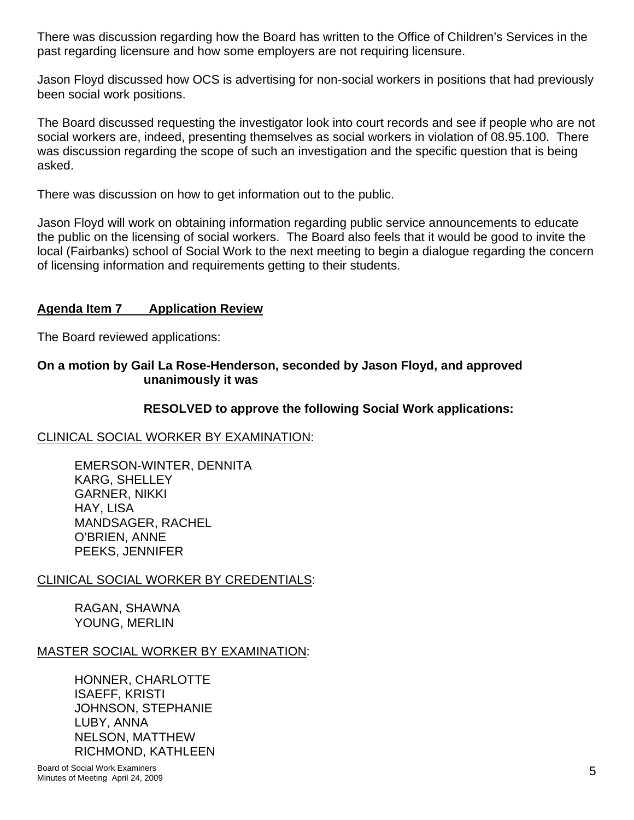There was discussion regarding how the Board has written to the Office of Children's Services in the past regarding licensure and how some employers are not requiring licensure.

Jason Floyd discussed how OCS is advertising for non-social workers in positions that had previously been social work positions.

The Board discussed requesting the investigator look into court records and see if people who are not social workers are, indeed, presenting themselves as social workers in violation of 08.95.100. There was discussion regarding the scope of such an investigation and the specific question that is being asked.

There was discussion on how to get information out to the public.

Jason Floyd will work on obtaining information regarding public service announcements to educate the public on the licensing of social workers. The Board also feels that it would be good to invite the local (Fairbanks) school of Social Work to the next meeting to begin a dialogue regarding the concern of licensing information and requirements getting to their students.

### **Agenda Item 7 Application Review**

The Board reviewed applications:

### **On a motion by Gail La Rose-Henderson, seconded by Jason Floyd, and approved unanimously it was**

### **RESOLVED to approve the following Social Work applications:**

### CLINICAL SOCIAL WORKER BY EXAMINATION:

EMERSON-WINTER, DENNITA KARG, SHELLEY GARNER, NIKKI HAY, LISA MANDSAGER, RACHEL O'BRIEN, ANNE PEEKS, JENNIFER

### CLINICAL SOCIAL WORKER BY CREDENTIALS:

RAGAN, SHAWNA YOUNG, MERLIN

### MASTER SOCIAL WORKER BY EXAMINATION:

HONNER, CHARLOTTE ISAEFF, KRISTI JOHNSON, STEPHANIE LUBY, ANNA NELSON, MATTHEW RICHMOND, KATHLEEN

Board of Social Work Examiners Minutes of Meeting April 24, 2009 5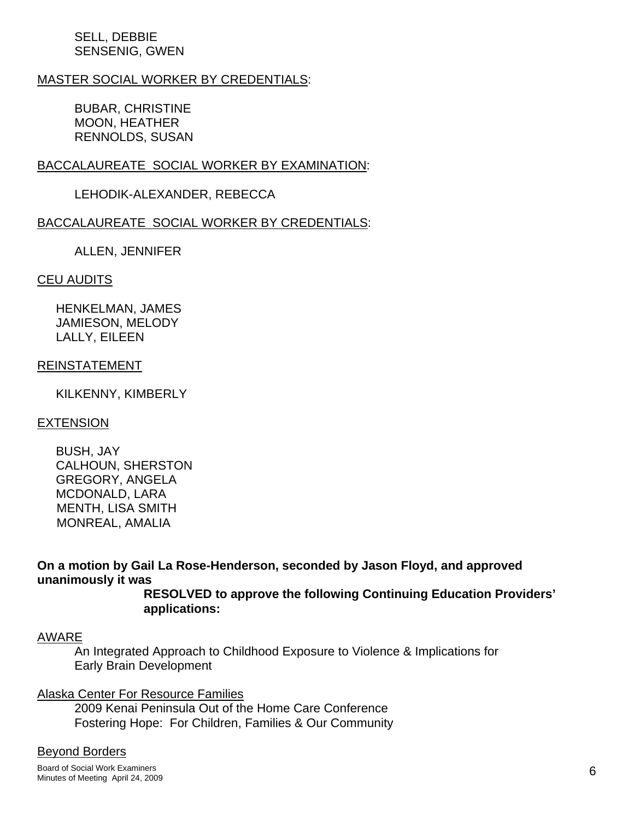### SELL, DEBBIE SENSENIG, GWEN

### MASTER SOCIAL WORKER BY CREDENTIALS:

BUBAR, CHRISTINE MOON, HEATHER RENNOLDS, SUSAN

### BACCALAUREATE SOCIAL WORKER BY EXAMINATION:

LEHODIK-ALEXANDER, REBECCA

#### BACCALAUREATE SOCIAL WORKER BY CREDENTIALS:

ALLEN, JENNIFER

#### CEU AUDITS

 HENKELMAN, JAMES JAMIESON, MELODY LALLY, EILEEN

#### REINSTATEMENT

KILKENNY, KIMBERLY

#### EXTENSION

 BUSH, JAY CALHOUN, SHERSTON GREGORY, ANGELA MCDONALD, LARA MENTH, LISA SMITH MONREAL, AMALIA

**On a motion by Gail La Rose-Henderson, seconded by Jason Floyd, and approved unanimously it was** 

> **RESOLVED to approve the following Continuing Education Providers' applications:**

#### AWARE

 An Integrated Approach to Childhood Exposure to Violence & Implications for Early Brain Development

#### Alaska Center For Resource Families

 2009 Kenai Peninsula Out of the Home Care Conference Fostering Hope: For Children, Families & Our Community

#### Beyond Borders

Board of Social Work Examiners Board of Social Work Examiners 66 April 24, 2009 66 April 2012 12:30 66 April 2012 12:30 66 April 24, 2009 66 April 24, 2009 66 April 2012 12:30 66 April 24, 2009 66 April 24, 2009 66 April 2012 12:30 66 April 2012 12:30 6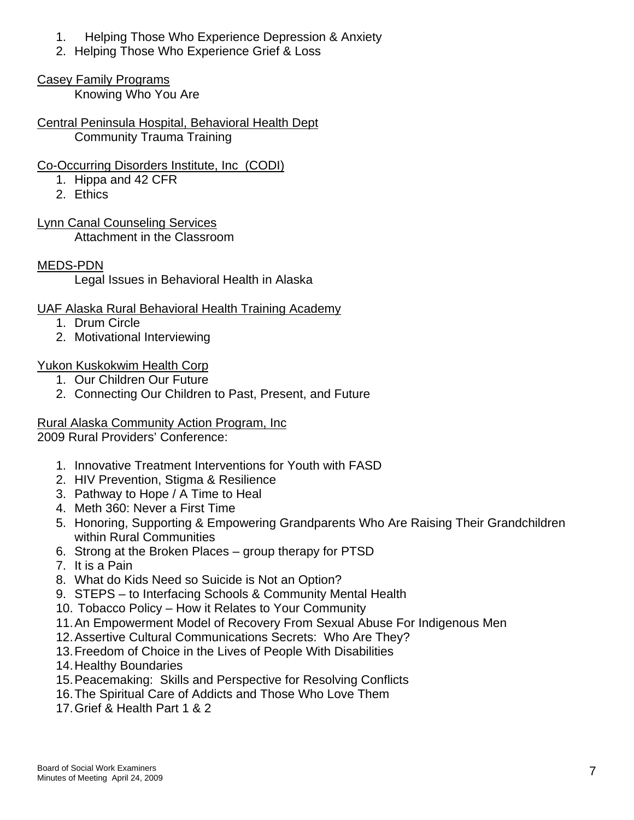- 1. Helping Those Who Experience Depression & Anxiety
- 2. Helping Those Who Experience Grief & Loss

Casey Family Programs

Knowing Who You Are

Central Peninsula Hospital, Behavioral Health Dept Community Trauma Training

# Co-Occurring Disorders Institute, Inc (CODI)

- 1. Hippa and 42 CFR
- 2. Ethics

Lynn Canal Counseling Services

Attachment in the Classroom

# MEDS-PDN

Legal Issues in Behavioral Health in Alaska

# UAF Alaska Rural Behavioral Health Training Academy

- 1. Drum Circle
- 2. Motivational Interviewing

# Yukon Kuskokwim Health Corp

- 1. Our Children Our Future
- 2. Connecting Our Children to Past, Present, and Future

# Rural Alaska Community Action Program, Inc

2009 Rural Providers' Conference:

- 1. Innovative Treatment Interventions for Youth with FASD
- 2. HIV Prevention, Stigma & Resilience
- 3. Pathway to Hope / A Time to Heal
- 4. Meth 360: Never a First Time
- 5. Honoring, Supporting & Empowering Grandparents Who Are Raising Their Grandchildren within Rural Communities
- 6. Strong at the Broken Places group therapy for PTSD
- 7. It is a Pain
- 8. What do Kids Need so Suicide is Not an Option?
- 9. STEPS to Interfacing Schools & Community Mental Health
- 10. Tobacco Policy How it Relates to Your Community
- 11. An Empowerment Model of Recovery From Sexual Abuse For Indigenous Men
- 12. Assertive Cultural Communications Secrets: Who Are They?
- 13. Freedom of Choice in the Lives of People With Disabilities
- 14. Healthy Boundaries
- 15. Peacemaking: Skills and Perspective for Resolving Conflicts
- 16. The Spiritual Care of Addicts and Those Who Love Them
- 17. Grief & Health Part 1 & 2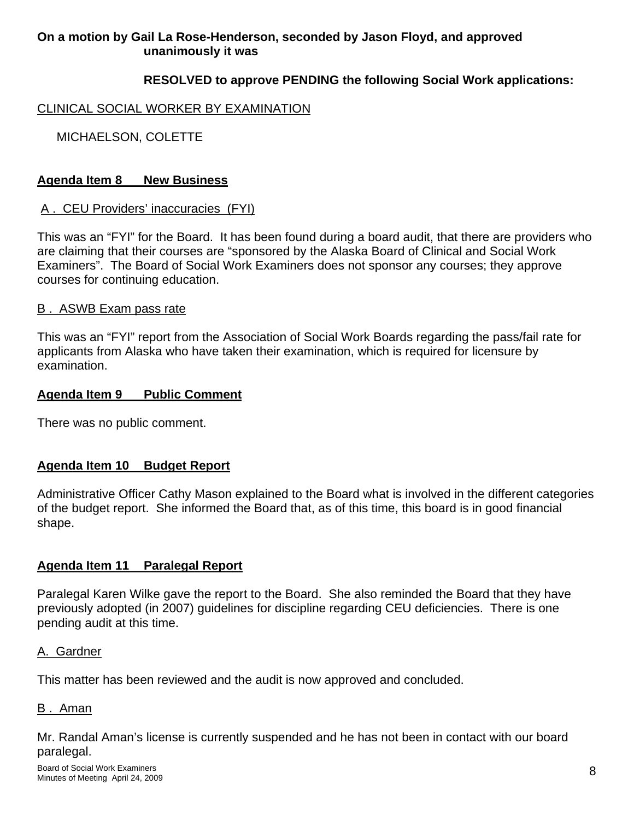# **On a motion by Gail La Rose-Henderson, seconded by Jason Floyd, and approved unanimously it was**

# **RESOLVED to approve PENDING the following Social Work applications:**

### CLINICAL SOCIAL WORKER BY EXAMINATION

MICHAELSON, COLETTE

### **Agenda Item 8 New Business**

### A . CEU Providers' inaccuracies (FYI)

This was an "FYI" for the Board. It has been found during a board audit, that there are providers who are claiming that their courses are "sponsored by the Alaska Board of Clinical and Social Work Examiners". The Board of Social Work Examiners does not sponsor any courses; they approve courses for continuing education.

### B . ASWB Exam pass rate

This was an "FYI" report from the Association of Social Work Boards regarding the pass/fail rate for applicants from Alaska who have taken their examination, which is required for licensure by examination.

### **Agenda Item 9 Public Comment**

There was no public comment.

# **Agenda Item 10 Budget Report**

Administrative Officer Cathy Mason explained to the Board what is involved in the different categories of the budget report. She informed the Board that, as of this time, this board is in good financial shape.

# **Agenda Item 11 Paralegal Report**

Paralegal Karen Wilke gave the report to the Board. She also reminded the Board that they have previously adopted (in 2007) guidelines for discipline regarding CEU deficiencies. There is one pending audit at this time.

### A. Gardner

This matter has been reviewed and the audit is now approved and concluded.

### B . Aman

Mr. Randal Aman's license is currently suspended and he has not been in contact with our board paralegal.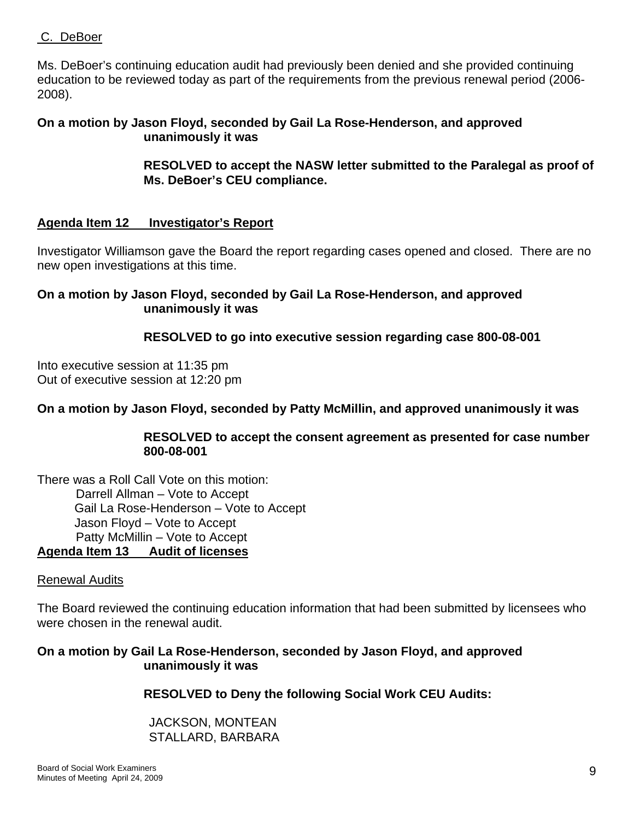### C. DeBoer

Ms. DeBoer's continuing education audit had previously been denied and she provided continuing education to be reviewed today as part of the requirements from the previous renewal period (2006- 2008).

### **On a motion by Jason Floyd, seconded by Gail La Rose-Henderson, and approved unanimously it was**

 **RESOLVED to accept the NASW letter submitted to the Paralegal as proof of Ms. DeBoer's CEU compliance.** 

### **Agenda Item 12 Investigator's Report**

Investigator Williamson gave the Board the report regarding cases opened and closed. There are no new open investigations at this time.

### **On a motion by Jason Floyd, seconded by Gail La Rose-Henderson, and approved unanimously it was**

### **RESOLVED to go into executive session regarding case 800-08-001**

Into executive session at 11:35 pm Out of executive session at 12:20 pm

**On a motion by Jason Floyd, seconded by Patty McMillin, and approved unanimously it was** 

### **RESOLVED to accept the consent agreement as presented for case number 800-08-001**

There was a Roll Call Vote on this motion: Darrell Allman – Vote to Accept Gail La Rose-Henderson – Vote to Accept Jason Floyd – Vote to Accept Patty McMillin – Vote to Accept **Agenda Item 13 Audit of licenses**

### Renewal Audits

The Board reviewed the continuing education information that had been submitted by licensees who were chosen in the renewal audit.

### **On a motion by Gail La Rose-Henderson, seconded by Jason Floyd, and approved unanimously it was**

 **RESOLVED to Deny the following Social Work CEU Audits:** 

 JACKSON, MONTEAN STALLARD, BARBARA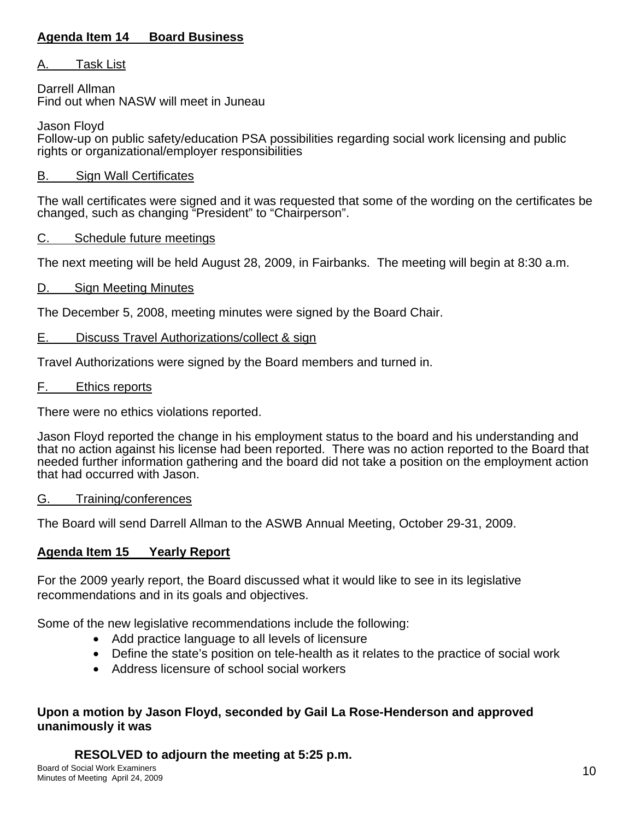# **Agenda Item 14 Board Business**

### A. Task List

Darrell Allman Find out when NASW will meet in Juneau

Jason Floyd Follow-up on public safety/education PSA possibilities regarding social work licensing and public rights or organizational/employer responsibilities

### B. Sign Wall Certificates

The wall certificates were signed and it was requested that some of the wording on the certificates be changed, such as changing "President" to "Chairperson".

### C. Schedule future meetings

The next meeting will be held August 28, 2009, in Fairbanks. The meeting will begin at 8:30 a.m.

### D. Sign Meeting Minutes

The December 5, 2008, meeting minutes were signed by the Board Chair.

### E. Discuss Travel Authorizations/collect & sign

Travel Authorizations were signed by the Board members and turned in.

### F. Ethics reports

There were no ethics violations reported.

Jason Floyd reported the change in his employment status to the board and his understanding and that no action against his license had been reported. There was no action reported to the Board that needed further information gathering and the board did not take a position on the employment action that had occurred with Jason.

### G. Training/conferences

The Board will send Darrell Allman to the ASWB Annual Meeting, October 29-31, 2009.

### **Agenda Item 15 Yearly Report**

For the 2009 yearly report, the Board discussed what it would like to see in its legislative recommendations and in its goals and objectives.

Some of the new legislative recommendations include the following:

- Add practice language to all levels of licensure
- Define the state's position on tele-health as it relates to the practice of social work
- Address licensure of school social workers

## **Upon a motion by Jason Floyd, seconded by Gail La Rose-Henderson and approved unanimously it was**

# **RESOLVED to adjourn the meeting at 5:25 p.m.**